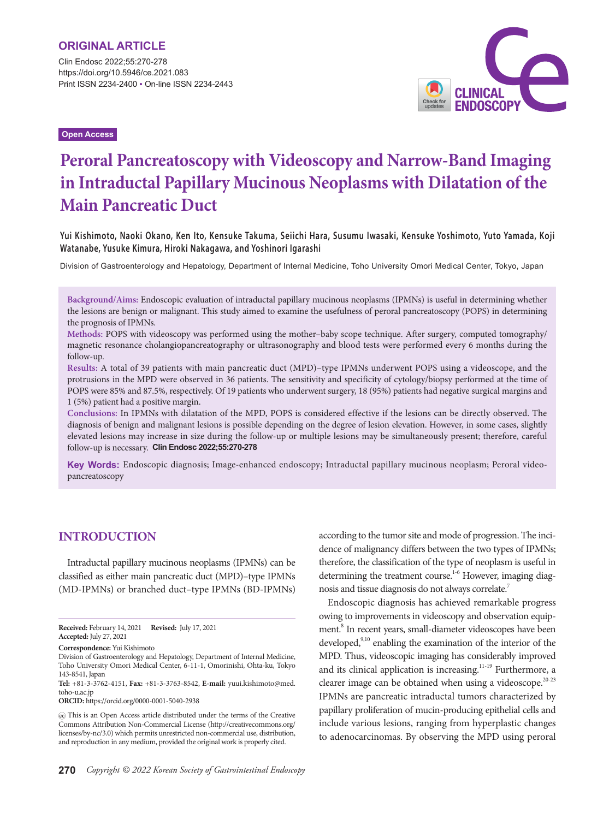Clin Endosc 2022;55:270-278 https://doi.org/10.5946/ce.2021.083 Print ISSN 2234-2400 • On-line ISSN 2234-2443

**Open Access**



# **Peroral Pancreatoscopy with Videoscopy and Narrow-Band Imaging in Intraductal Papillary Mucinous Neoplasms with Dilatation of the Main Pancreatic Duct**

**Yui Kishimoto, Naoki Okano, Ken Ito, Kensuke Takuma, Seiichi Hara, Susumu Iwasaki, Kensuke Yoshimoto, Yuto Yamada, Koji Watanabe, Yusuke Kimura, Hiroki Nakagawa, and Yoshinori Igarashi**

Division of Gastroenterology and Hepatology, Department of Internal Medicine, Toho University Omori Medical Center, Tokyo, Japan

**Background/Aims:** Endoscopic evaluation of intraductal papillary mucinous neoplasms (IPMNs) is useful in determining whether the lesions are benign or malignant. This study aimed to examine the usefulness of peroral pancreatoscopy (POPS) in determining the prognosis of IPMNs.

**Methods:** POPS with videoscopy was performed using the mother–baby scope technique. After surgery, computed tomography/ magnetic resonance cholangiopancreatography or ultrasonography and blood tests were performed every 6 months during the follow-up.

**Results:** A total of 39 patients with main pancreatic duct (MPD)–type IPMNs underwent POPS using a videoscope, and the protrusions in the MPD were observed in 36 patients. The sensitivity and specificity of cytology/biopsy performed at the time of POPS were 85% and 87.5%, respectively. Of 19 patients who underwent surgery, 18 (95%) patients had negative surgical margins and 1 (5%) patient had a positive margin.

**Conclusions:** In IPMNs with dilatation of the MPD, POPS is considered effective if the lesions can be directly observed. The diagnosis of benign and malignant lesions is possible depending on the degree of lesion elevation. However, in some cases, slightly elevated lesions may increase in size during the follow-up or multiple lesions may be simultaneously present; therefore, careful follow-up is necessary. **Clin Endosc 2022;55:270-278**

**Key Words:** Endoscopic diagnosis; Image-enhanced endoscopy; Intraductal papillary mucinous neoplasm; Peroral videopancreatoscopy

# **INTRODUCTION**

Intraductal papillary mucinous neoplasms (IPMNs) can be classified as either main pancreatic duct (MPD)–type IPMNs (MD-IPMNs) or branched duct–type IPMNs (BD-IPMNs)

**Correspondence:** Yui Kishimoto

**ORCID:** https://orcid.org/0000-0001-5040-2938

according to the tumor site and mode of progression. The incidence of malignancy differs between the two types of IPMNs; therefore, the classification of the type of neoplasm is useful in determining the treatment course.<sup>1-6</sup> However, imaging diagnosis and tissue diagnosis do not always correlate.7

Endoscopic diagnosis has achieved remarkable progress owing to improvements in videoscopy and observation equipment.<sup>8</sup> In recent years, small-diameter videoscopes have been developed,<sup>9,10</sup> enabling the examination of the interior of the MPD. Thus, videoscopic imaging has considerably improved and its clinical application is increasing.<sup>11-19</sup> Furthermore, a clearer image can be obtained when using a videoscope.<sup>20-23</sup> IPMNs are pancreatic intraductal tumors characterized by papillary proliferation of mucin-producing epithelial cells and include various lesions, ranging from hyperplastic changes to adenocarcinomas. By observing the MPD using peroral

**Received:** February 14, 2021 **Revised:** July 17, 2021 **Accepted:** July 27, 2021

Division of Gastroenterology and Hepatology, Department of Internal Medicine, Toho University Omori Medical Center, 6-11-1, Omorinishi, Ohta-ku, Tokyo 143-8541, Japan

**Tel:** +81-3-3762-4151, **Fax:** +81-3-3763-8542, **E-mail:** yuui.kishimoto@med. toho-u.ac.jp

This is an Open Access article distributed under the terms of the Creative Commons Attribution Non-Commercial License (http://creativecommons.org/ licenses/by-nc/3.0) which permits unrestricted non-commercial use, distribution, and reproduction in any medium, provided the original work is properly cited.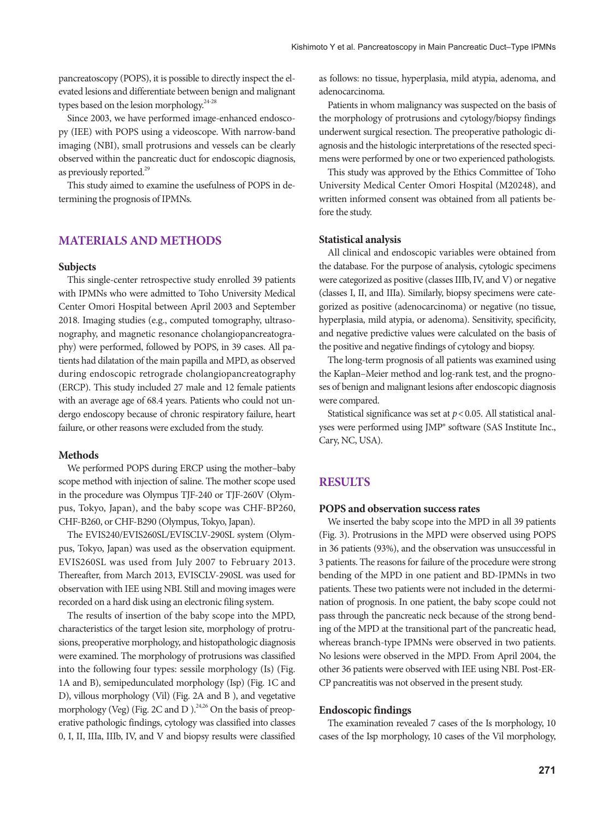pancreatoscopy (POPS), it is possible to directly inspect the elevated lesions and differentiate between benign and malignant types based on the lesion morphology. $24-28$ 

Since 2003, we have performed image-enhanced endoscopy (IEE) with POPS using a videoscope. With narrow-band imaging (NBI), small protrusions and vessels can be clearly observed within the pancreatic duct for endoscopic diagnosis, as previously reported.<sup>29</sup>

This study aimed to examine the usefulness of POPS in determining the prognosis of IPMNs.

## **MATERIALS AND METHODS**

#### **Subjects**

This single-center retrospective study enrolled 39 patients with IPMNs who were admitted to Toho University Medical Center Omori Hospital between April 2003 and September 2018. Imaging studies (e.g., computed tomography, ultrasonography, and magnetic resonance cholangiopancreatography) were performed, followed by POPS, in 39 cases. All patients had dilatation of the main papilla and MPD, as observed during endoscopic retrograde cholangiopancreatography (ERCP). This study included 27 male and 12 female patients with an average age of 68.4 years. Patients who could not undergo endoscopy because of chronic respiratory failure, heart failure, or other reasons were excluded from the study.

#### **Methods**

We performed POPS during ERCP using the mother–baby scope method with injection of saline. The mother scope used in the procedure was Olympus TJF-240 or TJF-260V (Olympus, Tokyo, Japan), and the baby scope was CHF-BP260, CHF-B260, or CHF-B290 (Olympus, Tokyo, Japan).

The EVIS240/EVIS260SL/EVISCLV-290SL system (Olympus, Tokyo, Japan) was used as the observation equipment. EVIS260SL was used from July 2007 to February 2013. Thereafter, from March 2013, EVISCLV-290SL was used for observation with IEE using NBI. Still and moving images were recorded on a hard disk using an electronic filing system.

The results of insertion of the baby scope into the MPD, characteristics of the target lesion site, morphology of protrusions, preoperative morphology, and histopathologic diagnosis were examined. The morphology of protrusions was classified into the following four types: sessile morphology (Is) (Fig. 1A and B), semipedunculated morphology (Isp) (Fig. 1C and D), villous morphology (Vil) (Fig. 2A and B ), and vegetative morphology (Veg) (Fig. 2C and D). $^{24,26}$  On the basis of preoperative pathologic findings, cytology was classified into classes 0, I, II, IIIa, IIIb, IV, and V and biopsy results were classified as follows: no tissue, hyperplasia, mild atypia, adenoma, and adenocarcinoma.

Patients in whom malignancy was suspected on the basis of the morphology of protrusions and cytology/biopsy findings underwent surgical resection. The preoperative pathologic diagnosis and the histologic interpretations of the resected specimens were performed by one or two experienced pathologists.

This study was approved by the Ethics Committee of Toho University Medical Center Omori Hospital (M20248), and written informed consent was obtained from all patients before the study.

#### **Statistical analysis**

All clinical and endoscopic variables were obtained from the database. For the purpose of analysis, cytologic specimens were categorized as positive (classes IIIb, IV, and V) or negative (classes I, II, and IIIa). Similarly, biopsy specimens were categorized as positive (adenocarcinoma) or negative (no tissue, hyperplasia, mild atypia, or adenoma). Sensitivity, specificity, and negative predictive values were calculated on the basis of the positive and negative findings of cytology and biopsy.

The long-term prognosis of all patients was examined using the Kaplan–Meier method and log-rank test, and the prognoses of benign and malignant lesions after endoscopic diagnosis were compared.

Statistical significance was set at *p* < 0.05. All statistical analyses were performed using JMP® software (SAS Institute Inc., Cary, NC, USA).

## **RESULTS**

#### **POPS and observation success rates**

We inserted the baby scope into the MPD in all 39 patients (Fig. 3). Protrusions in the MPD were observed using POPS in 36 patients (93%), and the observation was unsuccessful in 3 patients. The reasons for failure of the procedure were strong bending of the MPD in one patient and BD-IPMNs in two patients. These two patients were not included in the determination of prognosis. In one patient, the baby scope could not pass through the pancreatic neck because of the strong bending of the MPD at the transitional part of the pancreatic head, whereas branch-type IPMNs were observed in two patients. No lesions were observed in the MPD. From April 2004, the other 36 patients were observed with IEE using NBI. Post-ER-CP pancreatitis was not observed in the present study.

#### **Endoscopic findings**

The examination revealed 7 cases of the Is morphology, 10 cases of the Isp morphology, 10 cases of the Vil morphology,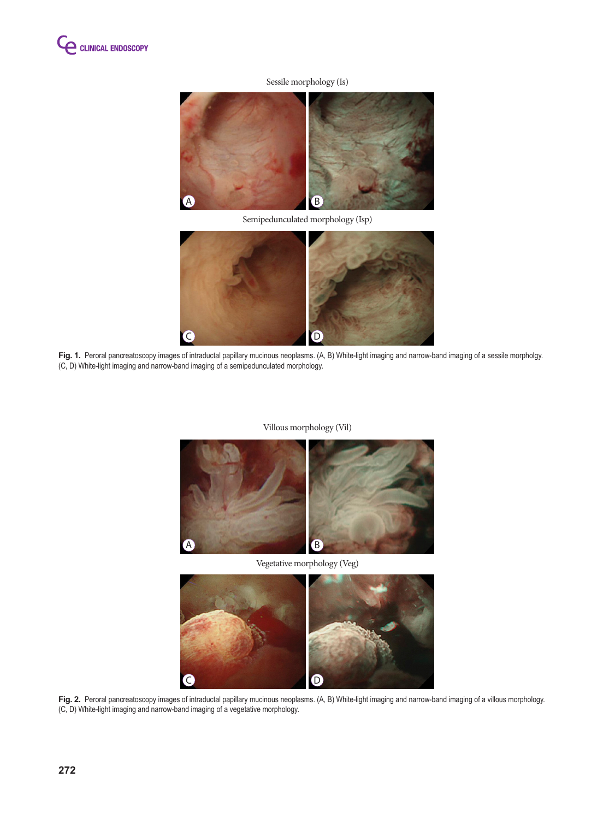

## Sessile morphology (Is)





Fig. 1. Peroral pancreatoscopy images of intraductal papillary mucinous neoplasms. (A, B) White-light imaging and narrow-band imaging of a sessile morpholgy. (C, D) White-light imaging and narrow-band imaging of a semipedunculated morphology.

#### Villous morphology (Vil)



Vegetative morphology (Veg)



Fig. 2. Peroral pancreatoscopy images of intraductal papillary mucinous neoplasms. (A, B) White-light imaging and narrow-band imaging of a villous morphology. (C, D) White-light imaging and narrow-band imaging of a vegetative morphology.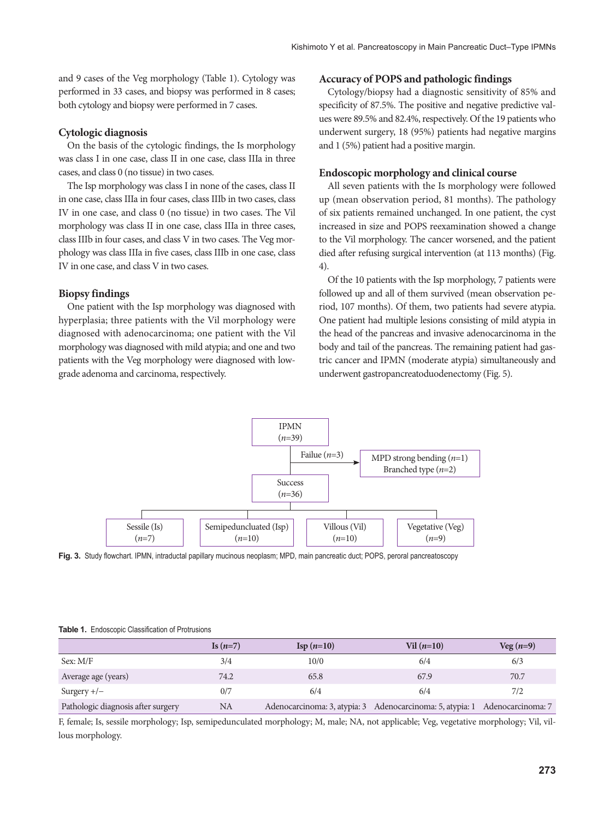and 9 cases of the Veg morphology (Table 1). Cytology was performed in 33 cases, and biopsy was performed in 8 cases; both cytology and biopsy were performed in 7 cases.

#### **Cytologic diagnosis**

On the basis of the cytologic findings, the Is morphology was class I in one case, class II in one case, class IIIa in three cases, and class 0 (no tissue) in two cases.

The Isp morphology was class I in none of the cases, class II in one case, class IIIa in four cases, class IIIb in two cases, class IV in one case, and class 0 (no tissue) in two cases. The Vil morphology was class II in one case, class IIIa in three cases, class IIIb in four cases, and class V in two cases. The Veg morphology was class IIIa in five cases, class IIIb in one case, class IV in one case, and class V in two cases.

#### **Biopsy findings**

One patient with the Isp morphology was diagnosed with hyperplasia; three patients with the Vil morphology were diagnosed with adenocarcinoma; one patient with the Vil morphology was diagnosed with mild atypia; and one and two patients with the Veg morphology were diagnosed with lowgrade adenoma and carcinoma, respectively.

#### **Accuracy of POPS and pathologic findings**

Cytology/biopsy had a diagnostic sensitivity of 85% and specificity of 87.5%. The positive and negative predictive values were 89.5% and 82.4%, respectively. Of the 19 patients who underwent surgery, 18 (95%) patients had negative margins and 1 (5%) patient had a positive margin.

### **Endoscopic morphology and clinical course**

All seven patients with the Is morphology were followed up (mean observation period, 81 months). The pathology of six patients remained unchanged. In one patient, the cyst increased in size and POPS reexamination showed a change to the Vil morphology. The cancer worsened, and the patient died after refusing surgical intervention (at 113 months) (Fig. 4).

Of the 10 patients with the Isp morphology, 7 patients were followed up and all of them survived (mean observation period, 107 months). Of them, two patients had severe atypia. One patient had multiple lesions consisting of mild atypia in the head of the pancreas and invasive adenocarcinoma in the body and tail of the pancreas. The remaining patient had gastric cancer and IPMN (moderate atypia) simultaneously and underwent gastropancreatoduodenectomy (Fig. 5).



**Fig. 3.** Study flowchart. IPMN, intraductal papillary mucinous neoplasm; MPD, main pancreatic duct; POPS, peroral pancreatoscopy

|                                    | Is $(n=7)$ | $\text{Isp}(n=10)$ | $Vil(n=10)$                                                                 | $Veg(n=9)$ |
|------------------------------------|------------|--------------------|-----------------------------------------------------------------------------|------------|
| Sex: M/F                           | 3/4        | 10/0               | 6/4                                                                         | 6/3        |
| Average age (years)                | 74.2       | 65.8               | 67.9                                                                        | 70.7       |
| Surgery $+/-$                      | 0/7        | 6/4                | 6/4                                                                         | 7/2        |
| Pathologic diagnosis after surgery | NA         |                    | Adenocarcinoma: 3, atypia: 3 Adenocarcinoma: 5, atypia: 1 Adenocarcinoma: 7 |            |

#### **Table 1.** Endoscopic Classification of Protrusions

F, female; Is, sessile morphology; Isp, semipedunculated morphology; M, male; NA, not applicable; Veg, vegetative morphology; Vil, villous morphology.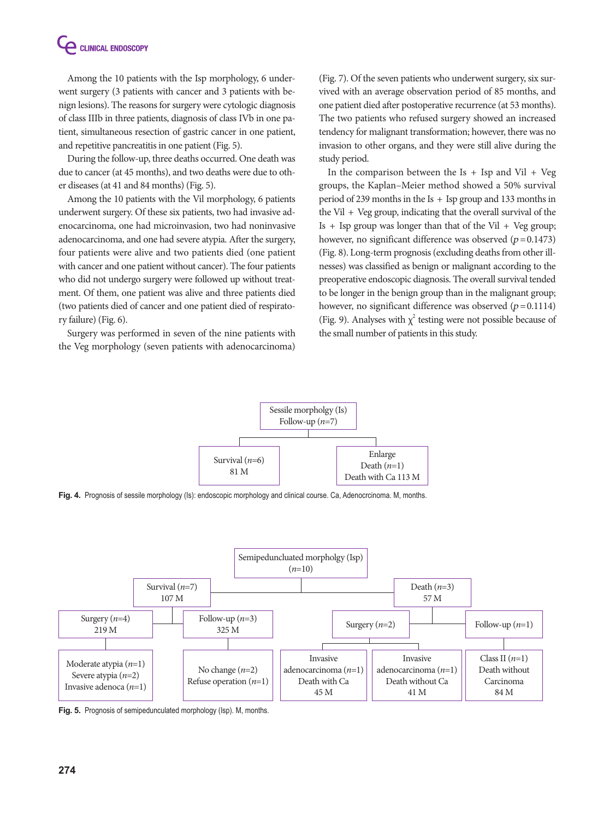Among the 10 patients with the Isp morphology, 6 underwent surgery (3 patients with cancer and 3 patients with benign lesions). The reasons for surgery were cytologic diagnosis of class IIIb in three patients, diagnosis of class IVb in one patient, simultaneous resection of gastric cancer in one patient, and repetitive pancreatitis in one patient (Fig. 5).

During the follow-up, three deaths occurred. One death was due to cancer (at 45 months), and two deaths were due to other diseases (at 41 and 84 months) (Fig. 5).

Among the 10 patients with the Vil morphology, 6 patients underwent surgery. Of these six patients, two had invasive adenocarcinoma, one had microinvasion, two had noninvasive adenocarcinoma, and one had severe atypia. After the surgery, four patients were alive and two patients died (one patient with cancer and one patient without cancer). The four patients who did not undergo surgery were followed up without treatment. Of them, one patient was alive and three patients died (two patients died of cancer and one patient died of respiratory failure) (Fig. 6).

Surgery was performed in seven of the nine patients with the Veg morphology (seven patients with adenocarcinoma)

(Fig. 7). Of the seven patients who underwent surgery, six survived with an average observation period of 85 months, and one patient died after postoperative recurrence (at 53 months). The two patients who refused surgery showed an increased tendency for malignant transformation; however, there was no invasion to other organs, and they were still alive during the study period.

In the comparison between the Is  $+$  Isp and Vil  $+$  Veg groups, the Kaplan–Meier method showed a 50% survival period of 239 months in the Is + Isp group and 133 months in the Vil  $+$  Veg group, indicating that the overall survival of the Is  $+$  Isp group was longer than that of the Vil  $+$  Veg group; however, no significant difference was observed  $(p=0.1473)$ (Fig. 8). Long-term prognosis (excluding deaths from other illnesses) was classified as benign or malignant according to the preoperative endoscopic diagnosis. The overall survival tended to be longer in the benign group than in the malignant group; however, no significant difference was observed  $(p=0.1114)$ (Fig. 9). Analyses with  $\chi^2$  testing were not possible because of the small number of patients in this study.



**Fig. 4.** Prognosis of sessile morphology (Is): endoscopic morphology and clinical course. Ca, Adenocrcinoma. M, months.



**Fig. 5.** Prognosis of semipedunculated morphology (Isp). M, months.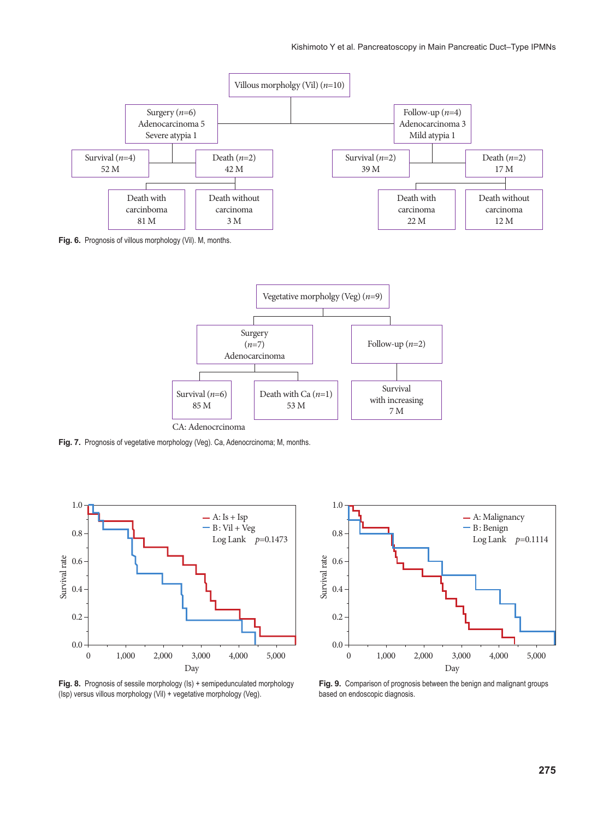

**Fig. 6.** Prognosis of villous morphology (Vil). M, months.



Fig. 7. Prognosis of vegetative morphology (Veg). Ca, Adenocrcinoma; M, months.



Fig. 8. Prognosis of sessile morphology (Is) + semipedunculated morphology (Isp) versus villous morphology (Vil) + vegetative morphology (Veg).



**Fig. 9.** Comparison of prognosis between the benign and malignant groups based on endoscopic diagnosis.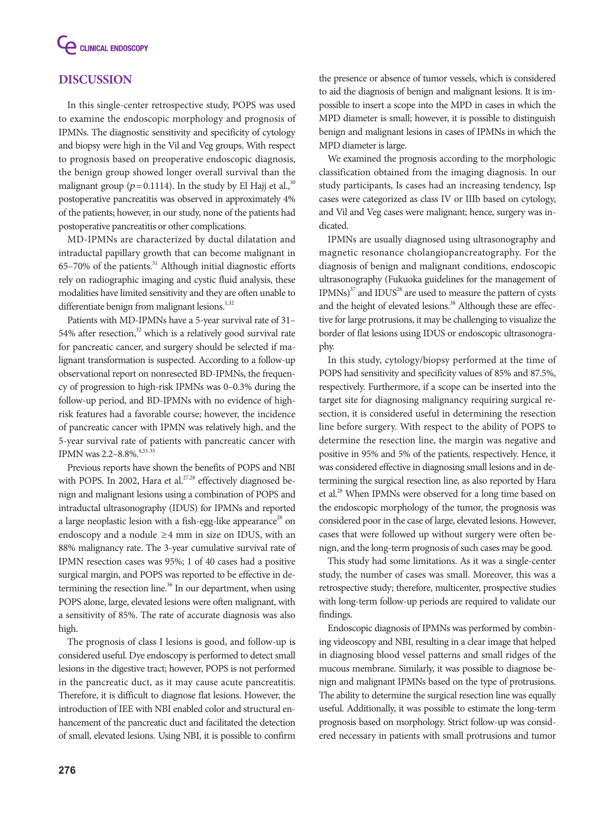

# **DISCUSSION**

In this single-center retrospective study, POPS was used to examine the endoscopic morphology and prognosis of IPMNs. The diagnostic sensitivity and specificity of cytology and biopsy were high in the Vil and Veg groups. With respect to prognosis based on preoperative endoscopic diagnosis, the benign group showed longer overall survival than the malignant group ( $p = 0.1114$ ). In the study by El Hajj et al.,<sup>30</sup> postoperative pancreatitis was observed in approximately 4% of the patients; however, in our study, none of the patients had postoperative pancreatitis or other complications.

MD-IPMNs are characterized by ductal dilatation and intraductal papillary growth that can become malignant in  $65-70%$  of the patients. $31$  Although initial diagnostic efforts rely on radiographic imaging and cystic fluid analysis, these modalities have limited sensitivity and they are often unable to differentiate benign from malignant lesions.<sup>1,32</sup>

Patients with MD-IPMNs have a 5-year survival rate of 31– 54% after resection, $32$  which is a relatively good survival rate for pancreatic cancer, and surgery should be selected if malignant transformation is suspected. According to a follow-up observational report on nonresected BD-IPMNs, the frequency of progression to high-risk IPMNs was 0–0.3% during the follow-up period, and BD-IPMNs with no evidence of highrisk features had a favorable course; however, the incidence of pancreatic cancer with IPMN was relatively high, and the 5-year survival rate of patients with pancreatic cancer with IPMN was 2.2-8.8%.<sup>4,33-35</sup>

Previous reports have shown the benefits of POPS and NBI with POPS. In 2002, Hara et al.<sup>27,28</sup> effectively diagnosed benign and malignant lesions using a combination of POPS and intraductal ultrasonography (IDUS) for IPMNs and reported a large neoplastic lesion with a fish-egg-like appearance<sup>28</sup> on endoscopy and a nodule  $\geq$  4 mm in size on IDUS, with an 88% malignancy rate. The 3-year cumulative survival rate of IPMN resection cases was 95%; 1 of 40 cases had a positive surgical margin, and POPS was reported to be effective in determining the resection line. $36$  In our department, when using POPS alone, large, elevated lesions were often malignant, with a sensitivity of 85%. The rate of accurate diagnosis was also high.

The prognosis of class I lesions is good, and follow-up is considered useful. Dye endoscopy is performed to detect small lesions in the digestive tract; however, POPS is not performed in the pancreatic duct, as it may cause acute pancreatitis. Therefore, it is difficult to diagnose flat lesions. However, the introduction of IEE with NBI enabled color and structural enhancement of the pancreatic duct and facilitated the detection of small, elevated lesions. Using NBI, it is possible to confirm

the presence or absence of tumor vessels, which is considered to aid the diagnosis of benign and malignant lesions. It is impossible to insert a scope into the MPD in cases in which the MPD diameter is small; however, it is possible to distinguish benign and malignant lesions in cases of IPMNs in which the MPD diameter is large.

We examined the prognosis according to the morphologic classification obtained from the imaging diagnosis. In our study participants, Is cases had an increasing tendency, Isp cases were categorized as class IV or IIIb based on cytology, and Vil and Veg cases were malignant; hence, surgery was indicated.

IPMNs are usually diagnosed using ultrasonography and magnetic resonance cholangiopancreatography. For the diagnosis of benign and malignant conditions, endoscopic ultrasonography (Fukuoka guidelines for the management of  $IPMNs$ <sup>37</sup> and  $IDUS<sup>28</sup>$  are used to measure the pattern of cysts and the height of elevated lesions.<sup>38</sup> Although these are effective for large protrusions, it may be challenging to visualize the border of flat lesions using IDUS or endoscopic ultrasonography.

In this study, cytology/biopsy performed at the time of POPS had sensitivity and specificity values of 85% and 87.5%, respectively. Furthermore, if a scope can be inserted into the target site for diagnosing malignancy requiring surgical resection, it is considered useful in determining the resection line before surgery. With respect to the ability of POPS to determine the resection line, the margin was negative and positive in 95% and 5% of the patients, respectively. Hence, it was considered effective in diagnosing small lesions and in determining the surgical resection line, as also reported by Hara et al.<sup>28</sup> When IPMNs were observed for a long time based on the endoscopic morphology of the tumor, the prognosis was considered poor in the case of large, elevated lesions. However, cases that were followed up without surgery were often benign, and the long-term prognosis of such cases may be good.

This study had some limitations. As it was a single-center study, the number of cases was small. Moreover, this was a retrospective study; therefore, multicenter, prospective studies with long-term follow-up periods are required to validate our findings.

Endoscopic diagnosis of IPMNs was performed by combining videoscopy and NBI, resulting in a clear image that helped in diagnosing blood vessel patterns and small ridges of the mucous membrane. Similarly, it was possible to diagnose benign and malignant IPMNs based on the type of protrusions. The ability to determine the surgical resection line was equally useful. Additionally, it was possible to estimate the long-term prognosis based on morphology. Strict follow-up was considered necessary in patients with small protrusions and tumor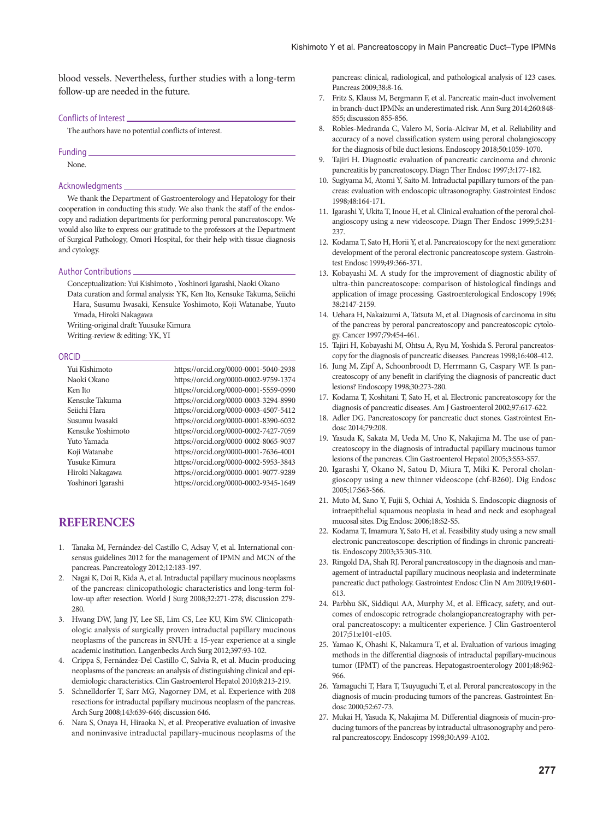blood vessels. Nevertheless, further studies with a long-term follow-up are needed in the future.

#### Conflicts of Interest

The authors have no potential conflicts of interest.

# Funding

None.

#### Acknowledgments

We thank the Department of Gastroenterology and Hepatology for their cooperation in conducting this study. We also thank the staff of the endoscopy and radiation departments for performing peroral pancreatoscopy. We would also like to express our gratitude to the professors at the Department of Surgical Pathology, Omori Hospital, for their help with tissue diagnosis and cytology.

#### Author Contributions

Conceptualization: Yui Kishimoto , Yoshinori Igarashi, Naoki Okano

Data curation and formal analysis: YK, Ken Ito, Kensuke Takuma, Seiichi Hara, Susumu Iwasaki, Kensuke Yoshimoto, Koji Watanabe, Yuuto Ymada, Hiroki Nakagawa

Writing-original draft: Yuusuke Kimura

Writing-review & editing: YK, YI

#### ORCID

| Yui Kishimoto      | https://orcid.org/0000-0001-5040-2938 |
|--------------------|---------------------------------------|
| Naoki Okano        | https://orcid.org/0000-0002-9759-1374 |
| Ken Ito            | https://orcid.org/0000-0001-5559-0990 |
| Kensuke Takuma     | https://orcid.org/0000-0003-3294-8990 |
| Seiichi Hara       | https://orcid.org/0000-0003-4507-5412 |
| Susumu Iwasaki     | https://orcid.org/0000-0001-8390-6032 |
| Kensuke Yoshimoto  | https://orcid.org/0000-0002-7427-7059 |
| Yuto Yamada        | https://orcid.org/0000-0002-8065-9037 |
| Koji Watanabe      | https://orcid.org/0000-0001-7636-4001 |
| Yusuke Kimura      | https://orcid.org/0000-0002-5953-3843 |
| Hiroki Nakagawa    | https://orcid.org/0000-0001-9077-9289 |
| Yoshinori Igarashi | https://orcid.org/0000-0002-9345-1649 |

## **REFERENCES**

- 1. Tanaka M, Fernández-del Castillo C, Adsay V, et al. International consensus guidelines 2012 for the management of IPMN and MCN of the pancreas. Pancreatology 2012;12:183-197.
- 2. Nagai K, Doi R, Kida A, et al. Intraductal papillary mucinous neoplasms of the pancreas: clinicopathologic characteristics and long-term follow-up after resection. World J Surg 2008;32:271-278; discussion 279- 280.
- 3. Hwang DW, Jang JY, Lee SE, Lim CS, Lee KU, Kim SW. Clinicopathologic analysis of surgically proven intraductal papillary mucinous neoplasms of the pancreas in SNUH: a 15-year experience at a single academic institution. Langenbecks Arch Surg 2012;397:93-102.
- 4. Crippa S, Fernández-Del Castillo C, Salvia R, et al. Mucin-producing neoplasms of the pancreas: an analysis of distinguishing clinical and epidemiologic characteristics. Clin Gastroenterol Hepatol 2010;8:213-219.
- 5. Schnelldorfer T, Sarr MG, Nagorney DM, et al. Experience with 208 resections for intraductal papillary mucinous neoplasm of the pancreas. Arch Surg 2008;143:639-646; discussion 646.
- 6. Nara S, Onaya H, Hiraoka N, et al. Preoperative evaluation of invasive and noninvasive intraductal papillary-mucinous neoplasms of the

pancreas: clinical, radiological, and pathological analysis of 123 cases. Pancreas 2009;38:8-16.

- 7. Fritz S, Klauss M, Bergmann F, et al. Pancreatic main-duct involvement in branch-duct IPMNs: an underestimated risk. Ann Surg 2014;260:848- 855; discussion 855-856.
- 8. Robles-Medranda C, Valero M, Soria-Alcivar M, et al. Reliability and accuracy of a novel classification system using peroral cholangioscopy for the diagnosis of bile duct lesions. Endoscopy 2018;50:1059-1070.
- 9. Tajiri H. Diagnostic evaluation of pancreatic carcinoma and chronic pancreatitis by pancreatoscopy. Diagn Ther Endosc 1997;3:177-182.
- 10. Sugiyama M, Atomi Y, Saito M. Intraductal papillary tumors of the pancreas: evaluation with endoscopic ultrasonography. Gastrointest Endosc 1998;48:164-171.
- 11. Igarashi Y, Ukita T, Inoue H, et al. Clinical evaluation of the peroral cholangioscopy using a new videoscope. Diagn Ther Endosc 1999;5:231- 237
- 12. Kodama T, Sato H, Horii Y, et al. Pancreatoscopy for the next generation: development of the peroral electronic pancreatoscope system. Gastrointest Endosc 1999;49:366-371.
- 13. Kobayashi M. A study for the improvement of diagnostic ability of ultra-thin pancreatoscope: comparison of histological findings and application of image processing. Gastroenterological Endoscopy 1996; 38:2147-2159.
- 14. Uehara H, Nakaizumi A, Tatsuta M, et al. Diagnosis of carcinoma in situ of the pancreas by peroral pancreatoscopy and pancreatoscopic cytology. Cancer 1997;79:454-461.
- 15. Tajiri H, Kobayashi M, Ohtsu A, Ryu M, Yoshida S. Peroral pancreatoscopy for the diagnosis of pancreatic diseases. Pancreas 1998;16:408-412.
- 16. Jung M, Zipf A, Schoonbroodt D, Herrmann G, Caspary WF. Is pancreatoscopy of any benefit in clarifying the diagnosis of pancreatic duct lesions? Endoscopy 1998;30:273-280.
- 17. Kodama T, Koshitani T, Sato H, et al. Electronic pancreatoscopy for the diagnosis of pancreatic diseases. Am J Gastroenterol 2002;97:617-622.
- 18. Adler DG. Pancreatoscopy for pancreatic duct stones. Gastrointest Endosc 2014;79:208.
- 19. Yasuda K, Sakata M, Ueda M, Uno K, Nakajima M. The use of pancreatoscopy in the diagnosis of intraductal papillary mucinous tumor lesions of the pancreas. Clin Gastroenterol Hepatol 2005;3:S53-S57.
- 20. Igarashi Y, Okano N, Satou D, Miura T, Miki K. Peroral cholangioscopy using a new thinner videoscope (chf-B260). Dig Endosc 2005;17:S63-S66.
- 21. Muto M, Sano Y, Fujii S, Ochiai A, Yoshida S. Endoscopic diagnosis of intraepithelial squamous neoplasia in head and neck and esophageal mucosal sites. Dig Endosc 2006;18:S2-S5.
- 22. Kodama T, Imamura Y, Sato H, et al. Feasibility study using a new small electronic pancreatoscope: description of findings in chronic pancreatitis. Endoscopy 2003;35:305-310.
- 23. Ringold DA, Shah RJ. Peroral pancreatoscopy in the diagnosis and management of intraductal papillary mucinous neoplasia and indeterminate pancreatic duct pathology. Gastrointest Endosc Clin N Am 2009;19:601- 613.
- 24. Parbhu SK, Siddiqui AA, Murphy M, et al. Efficacy, safety, and outcomes of endoscopic retrograde cholangiopancreatography with peroral pancreatoscopy: a multicenter experience. J Clin Gastroenterol 2017;51:e101-e105.
- 25. Yamao K, Ohashi K, Nakamura T, et al. Evaluation of various imaging methods in the differential diagnosis of intraductal papillary-mucinous tumor (IPMT) of the pancreas. Hepatogastroenterology 2001;48:962- 966.
- 26. Yamaguchi T, Hara T, Tsuyuguchi T, et al. Peroral pancreatoscopy in the diagnosis of mucin-producing tumors of the pancreas. Gastrointest Endosc 2000;52:67-73.
- 27. Mukai H, Yasuda K, Nakajima M. Differential diagnosis of mucin-producing tumors of the pancreas by intraductal ultrasonography and peroral pancreatoscopy. Endoscopy 1998;30:A99-A102.